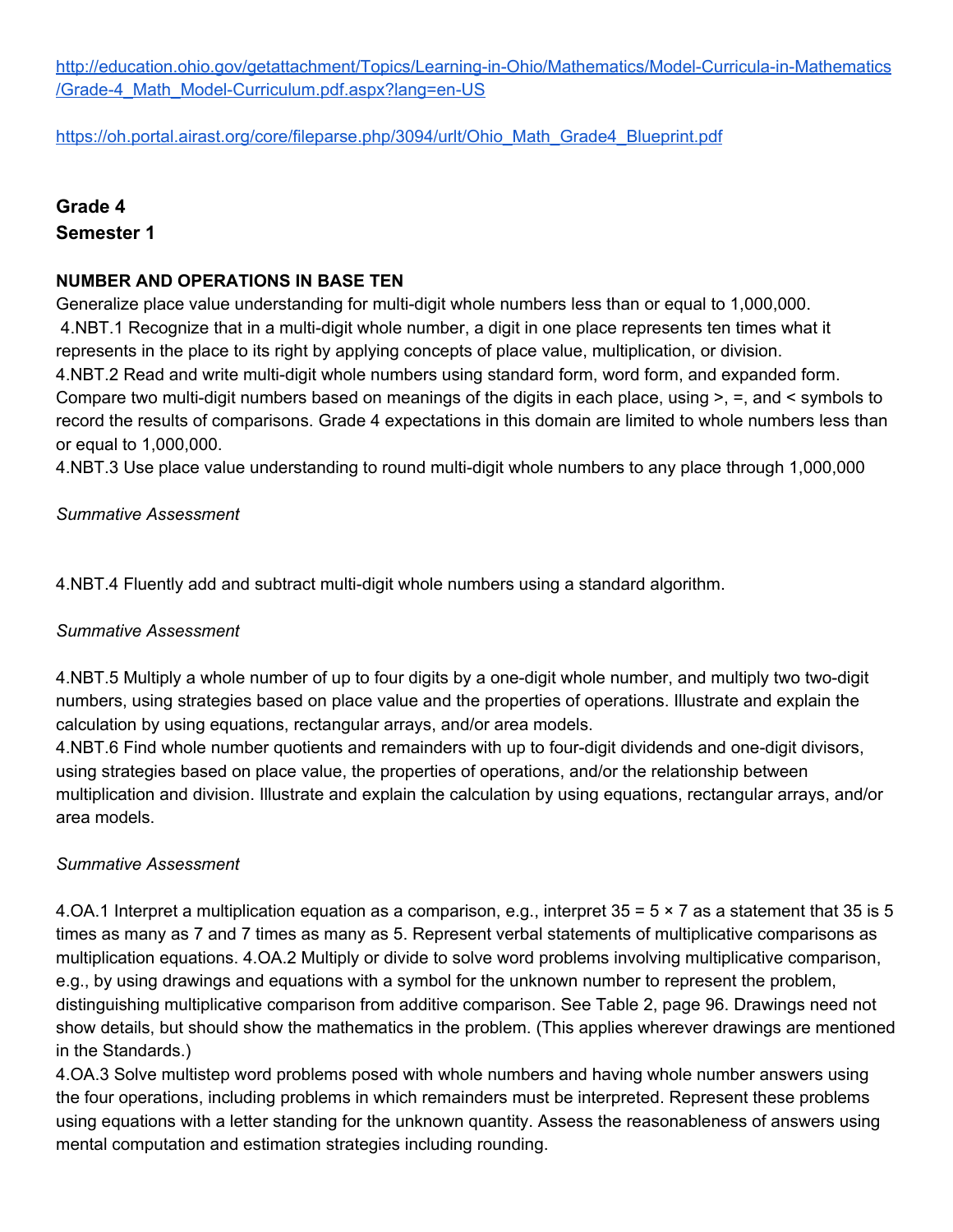[http://education.ohio.gov/getattachment/Topics/Learning-in-Ohio/Mathematics/Model-Curricula-in-Mathematics](http://education.ohio.gov/getattachment/Topics/Learning-in-Ohio/Mathematics/Model-Curricula-in-Mathematics/Grade-4_Math_Model-Curriculum.pdf.aspx?lang=en-US) [/Grade-4\\_Math\\_Model-Curriculum.pdf.aspx?lang=en-US](http://education.ohio.gov/getattachment/Topics/Learning-in-Ohio/Mathematics/Model-Curricula-in-Mathematics/Grade-4_Math_Model-Curriculum.pdf.aspx?lang=en-US)

[https://oh.portal.airast.org/core/fileparse.php/3094/urlt/Ohio\\_Math\\_Grade4\\_Blueprint.pdf](https://oh.portal.airast.org/core/fileparse.php/3094/urlt/Ohio_Math_Grade4_Blueprint.pdf)

# **Grade 4 Semester 1**

#### **NUMBER AND OPERATIONS IN BASE TEN**

Generalize place value understanding for multi-digit whole numbers less than or equal to 1,000,000. 4.NBT.1 Recognize that in a multi-digit whole number, a digit in one place represents ten times what it represents in the place to its right by applying concepts of place value, multiplication, or division. 4.NBT.2 Read and write multi-digit whole numbers using standard form, word form, and expanded form. Compare two multi-digit numbers based on meanings of the digits in each place, using >, =, and < symbols to record the results of comparisons. Grade 4 expectations in this domain are limited to whole numbers less than or equal to 1,000,000.

4.NBT.3 Use place value understanding to round multi-digit whole numbers to any place through 1,000,000

#### *Summative Assessment*

4.NBT.4 Fluently add and subtract multi-digit whole numbers using a standard algorithm.

#### *Summative Assessment*

4.NBT.5 Multiply a whole number of up to four digits by a one-digit whole number, and multiply two two-digit numbers, using strategies based on place value and the properties of operations. Illustrate and explain the calculation by using equations, rectangular arrays, and/or area models.

4.NBT.6 Find whole number quotients and remainders with up to four-digit dividends and one-digit divisors, using strategies based on place value, the properties of operations, and/or the relationship between multiplication and division. Illustrate and explain the calculation by using equations, rectangular arrays, and/or area models.

#### *Summative Assessment*

4.OA.1 Interpret a multiplication equation as a comparison, e.g., interpret  $35 = 5 \times 7$  as a statement that 35 is 5 times as many as 7 and 7 times as many as 5. Represent verbal statements of multiplicative comparisons as multiplication equations. 4.OA.2 Multiply or divide to solve word problems involving multiplicative comparison, e.g., by using drawings and equations with a symbol for the unknown number to represent the problem, distinguishing multiplicative comparison from additive comparison. See Table 2, page 96. Drawings need not show details, but should show the mathematics in the problem. (This applies wherever drawings are mentioned in the Standards.)

4.OA.3 Solve multistep word problems posed with whole numbers and having whole number answers using the four operations, including problems in which remainders must be interpreted. Represent these problems using equations with a letter standing for the unknown quantity. Assess the reasonableness of answers using mental computation and estimation strategies including rounding.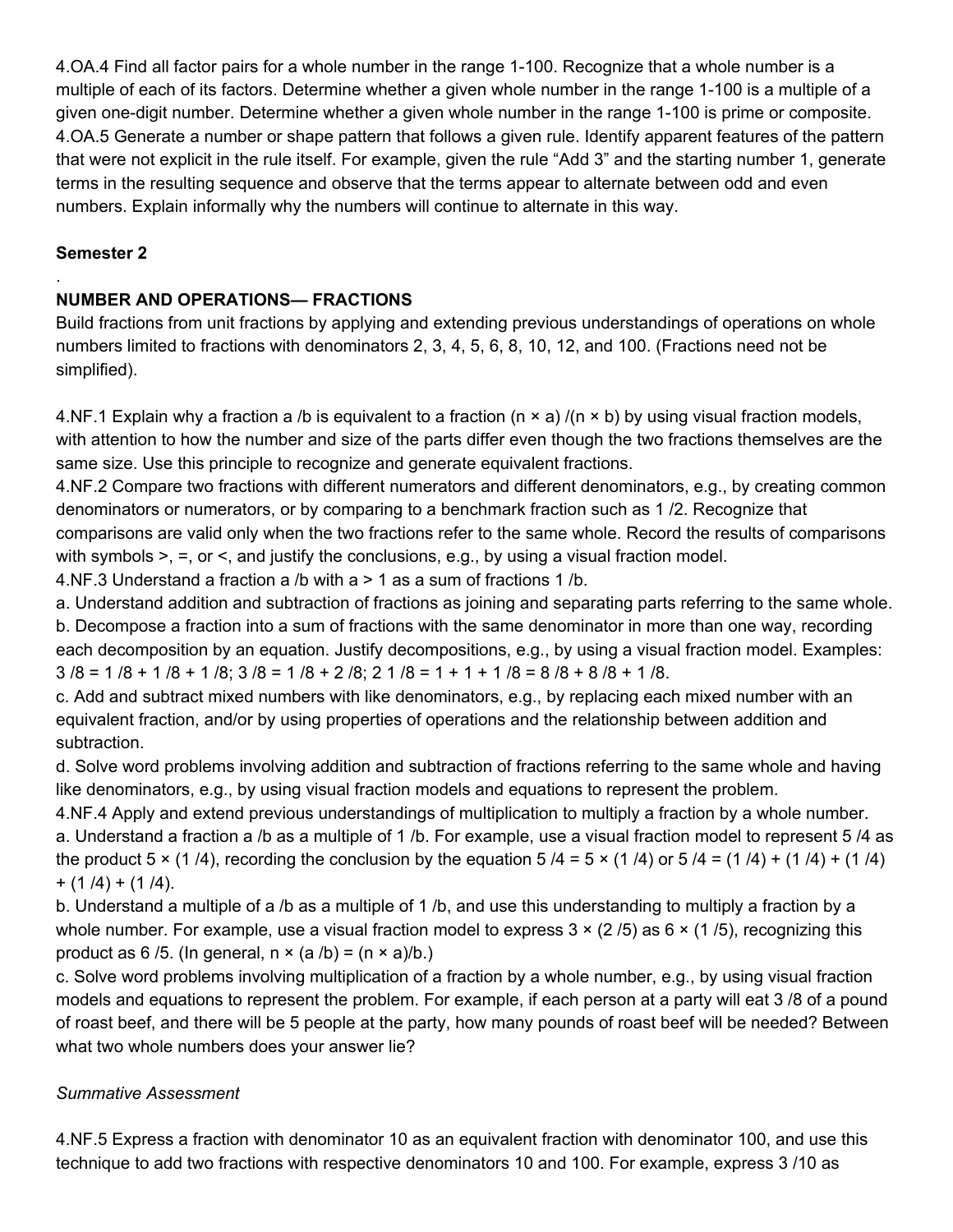4.OA.4 Find all factor pairs for a whole number in the range 1-100. Recognize that a whole number is a multiple of each of its factors. Determine whether a given whole number in the range 1-100 is a multiple of a given one-digit number. Determine whether a given whole number in the range 1-100 is prime or composite. 4.OA.5 Generate a number or shape pattern that follows a given rule. Identify apparent features of the pattern that were not explicit in the rule itself. For example, given the rule "Add 3" and the starting number 1, generate terms in the resulting sequence and observe that the terms appear to alternate between odd and even numbers. Explain informally why the numbers will continue to alternate in this way.

# **Semester 2**

.

# **NUMBER AND OPERATIONS— FRACTIONS**

Build fractions from unit fractions by applying and extending previous understandings of operations on whole numbers limited to fractions with denominators 2, 3, 4, 5, 6, 8, 10, 12, and 100. (Fractions need not be simplified).

4.NF.1 Explain why a fraction a /b is equivalent to a fraction ( $n \times a$ ) /( $n \times b$ ) by using visual fraction models, with attention to how the number and size of the parts differ even though the two fractions themselves are the same size. Use this principle to recognize and generate equivalent fractions.

4.NF.2 Compare two fractions with different numerators and different denominators, e.g., by creating common denominators or numerators, or by comparing to a benchmark fraction such as 1 /2. Recognize that comparisons are valid only when the two fractions refer to the same whole. Record the results of comparisons with symbols  $\geq$ ,  $\equiv$ , or  $\leq$ , and justify the conclusions, e.g., by using a visual fraction model.

4.NF.3 Understand a fraction a /b with a > 1 as a sum of fractions 1 /b.

a. Understand addition and subtraction of fractions as joining and separating parts referring to the same whole. b. Decompose a fraction into a sum of fractions with the same denominator in more than one way, recording each decomposition by an equation. Justify decompositions, e.g., by using a visual fraction model. Examples:  $3/8 = 1/8 + 1/8 + 1/8$ ;  $3/8 = 1/8 + 2/8$ ;  $2 \frac{1}{8} = 1 + 1 + 1/8 = 8/8 + 8/8 + 1/8$ .

c. Add and subtract mixed numbers with like denominators, e.g., by replacing each mixed number with an equivalent fraction, and/or by using properties of operations and the relationship between addition and subtraction.

d. Solve word problems involving addition and subtraction of fractions referring to the same whole and having like denominators, e.g., by using visual fraction models and equations to represent the problem.

4.NF.4 Apply and extend previous understandings of multiplication to multiply a fraction by a whole number. a. Understand a fraction a /b as a multiple of 1 /b. For example, use a visual fraction model to represent 5 /4 as the product  $5 \times (1/4)$ , recording the conclusion by the equation  $5/4 = 5 \times (1/4)$  or  $5/4 = (1/4) + (1/4) + (1/4)$  $+ (1/4) + (1/4)$ .

b. Understand a multiple of a /b as a multiple of 1 /b, and use this understanding to multiply a fraction by a whole number. For example, use a visual fraction model to express  $3 \times (2/5)$  as  $6 \times (1/5)$ , recognizing this product as 6/5. (In general,  $n \times (a/b) = (n \times a)/b$ .)

c. Solve word problems involving multiplication of a fraction by a whole number, e.g., by using visual fraction models and equations to represent the problem. For example, if each person at a party will eat 3 /8 of a pound of roast beef, and there will be 5 people at the party, how many pounds of roast beef will be needed? Between what two whole numbers does your answer lie?

### *Summative Assessment*

4.NF.5 Express a fraction with denominator 10 as an equivalent fraction with denominator 100, and use this technique to add two fractions with respective denominators 10 and 100. For example, express 3 /10 as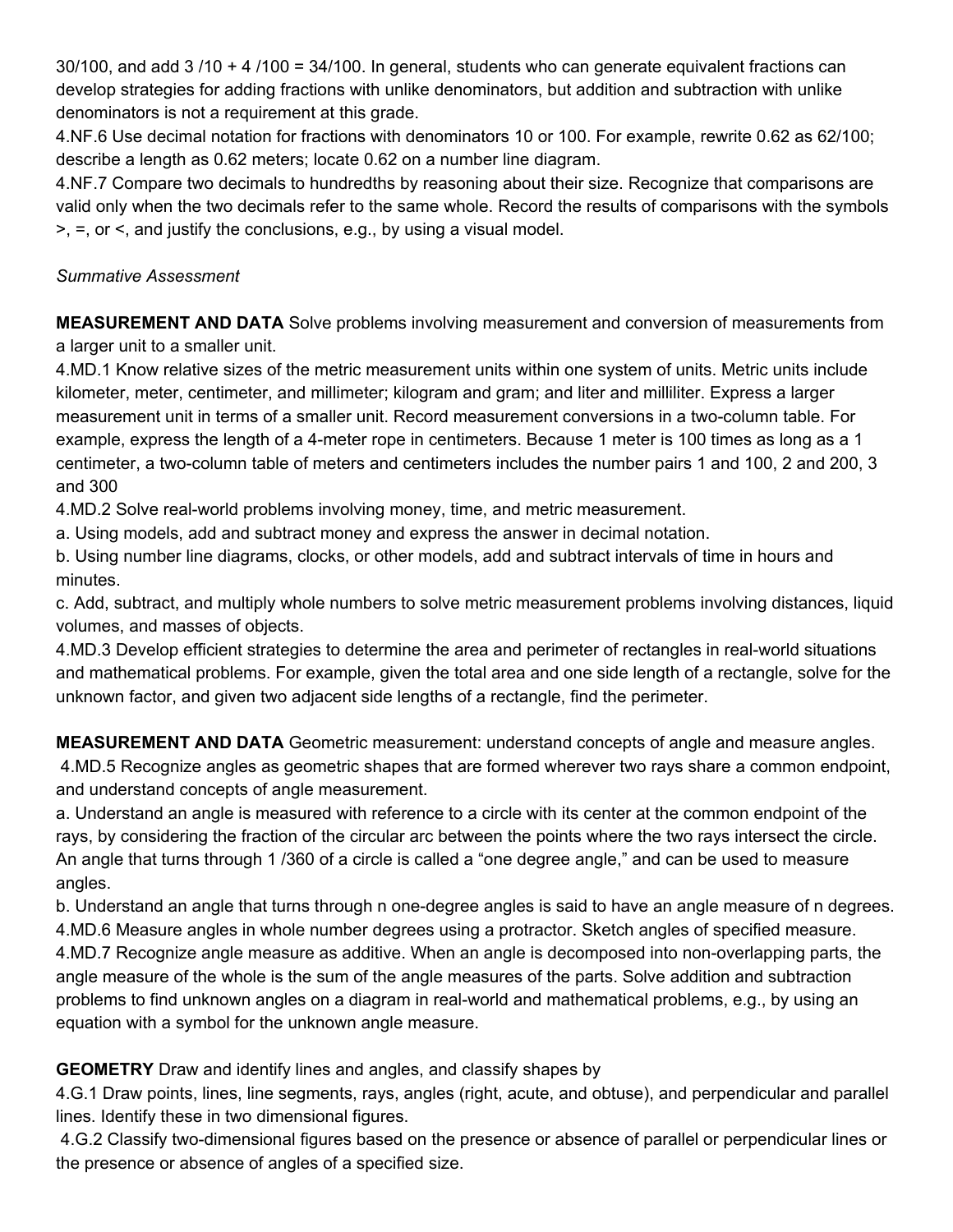30/100, and add 3 /10 + 4 /100 = 34/100. In general, students who can generate equivalent fractions can develop strategies for adding fractions with unlike denominators, but addition and subtraction with unlike denominators is not a requirement at this grade.

4.NF.6 Use decimal notation for fractions with denominators 10 or 100. For example, rewrite 0.62 as 62/100; describe a length as 0.62 meters; locate 0.62 on a number line diagram.

4.NF.7 Compare two decimals to hundredths by reasoning about their size. Recognize that comparisons are valid only when the two decimals refer to the same whole. Record the results of comparisons with the symbols >, =, or <, and justify the conclusions, e.g., by using a visual model.

### *Summative Assessment*

**MEASUREMENT AND DATA** Solve problems involving measurement and conversion of measurements from a larger unit to a smaller unit.

4.MD.1 Know relative sizes of the metric measurement units within one system of units. Metric units include kilometer, meter, centimeter, and millimeter; kilogram and gram; and liter and milliliter. Express a larger measurement unit in terms of a smaller unit. Record measurement conversions in a two-column table. For example, express the length of a 4-meter rope in centimeters. Because 1 meter is 100 times as long as a 1 centimeter, a two-column table of meters and centimeters includes the number pairs 1 and 100, 2 and 200, 3 and 300

4.MD.2 Solve real-world problems involving money, time, and metric measurement.

a. Using models, add and subtract money and express the answer in decimal notation.

b. Using number line diagrams, clocks, or other models, add and subtract intervals of time in hours and minutes.

c. Add, subtract, and multiply whole numbers to solve metric measurement problems involving distances, liquid volumes, and masses of objects.

4.MD.3 Develop efficient strategies to determine the area and perimeter of rectangles in real-world situations and mathematical problems. For example, given the total area and one side length of a rectangle, solve for the unknown factor, and given two adjacent side lengths of a rectangle, find the perimeter.

**MEASUREMENT AND DATA** Geometric measurement: understand concepts of angle and measure angles. 4.MD.5 Recognize angles as geometric shapes that are formed wherever two rays share a common endpoint, and understand concepts of angle measurement.

a. Understand an angle is measured with reference to a circle with its center at the common endpoint of the rays, by considering the fraction of the circular arc between the points where the two rays intersect the circle. An angle that turns through 1 /360 of a circle is called a "one degree angle," and can be used to measure angles.

b. Understand an angle that turns through n one-degree angles is said to have an angle measure of n degrees. 4.MD.6 Measure angles in whole number degrees using a protractor. Sketch angles of specified measure. 4.MD.7 Recognize angle measure as additive. When an angle is decomposed into non-overlapping parts, the angle measure of the whole is the sum of the angle measures of the parts. Solve addition and subtraction problems to find unknown angles on a diagram in real-world and mathematical problems, e.g., by using an equation with a symbol for the unknown angle measure.

**GEOMETRY** Draw and identify lines and angles, and classify shapes by

4.G.1 Draw points, lines, line segments, rays, angles (right, acute, and obtuse), and perpendicular and parallel lines. Identify these in two dimensional figures.

4.G.2 Classify two-dimensional figures based on the presence or absence of parallel or perpendicular lines or the presence or absence of angles of a specified size.